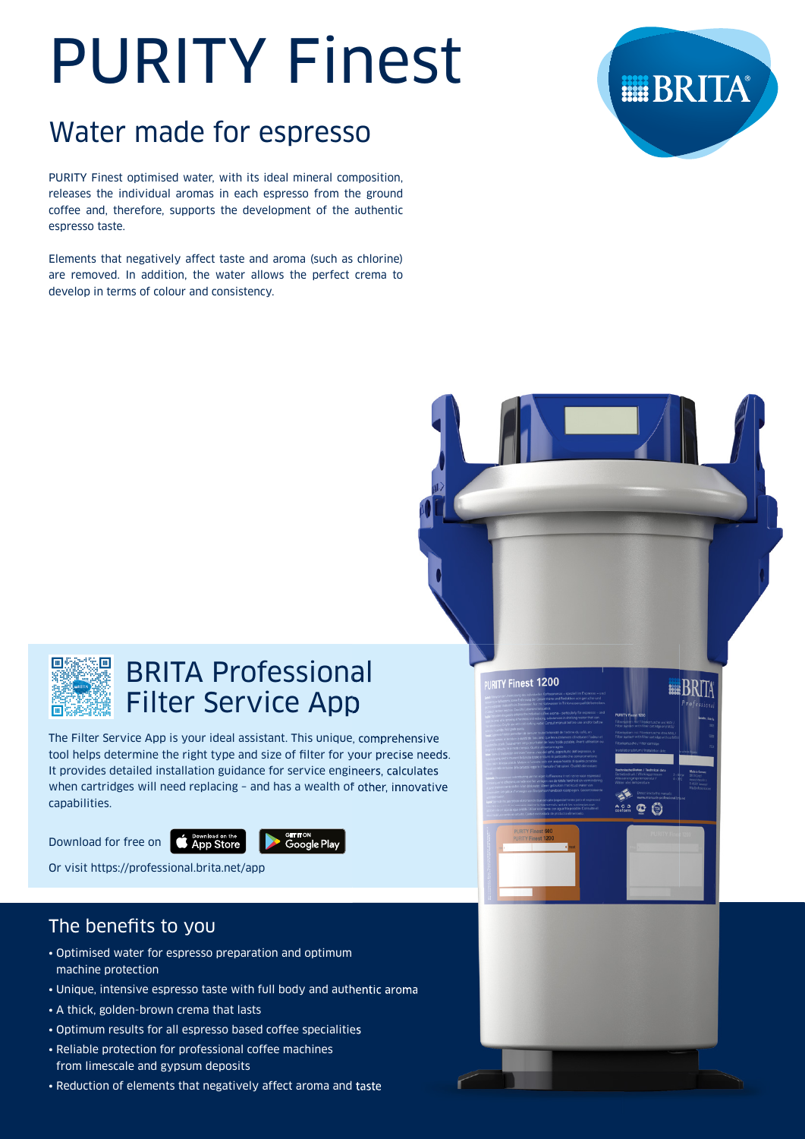# PURITY Finest

## Water made for espresso

PURITY Finest optimised water, with its ideal mineral composition. releases the individual aromas in each espresso from the ground coffee and, therefore, supports the development of the authentic espresso taste.

Elements that negatively affect taste and aroma (such as chlorine) are removed. In addition, the water allows the perfect crema to develop in terms of colour and consistency.





| 圃∮ |    | Ħ       |
|----|----|---------|
|    |    |         |
|    |    |         |
|    |    |         |
| IШ | 63 | c.<br>Ħ |

## BRITA Professional Filter Service App

The Filter Service App is your ideal assistant. This unique, comprehensive tool helps determine the right type and size of filter for your precise needs. It provides detailed installation guidance for service engineers, calculates when cartridges will need replacing – and has a wealth of other, innovative capabilities.

Download for free on **CAPP Store** 



Or visit https://professional.brita.net/app

## The benefits to you

- Optimised water for espresso preparation and optimum machine protection
- Unique, intensive espresso taste with full body and authentic aroma
- A thick, golden-brown crema that lasts
- Optimum results for all espresso based coffee specialities
- Reliable protection for professional coffee machines from limescale and gypsum deposits
- Reduction of elements that negatively affect aroma and taste